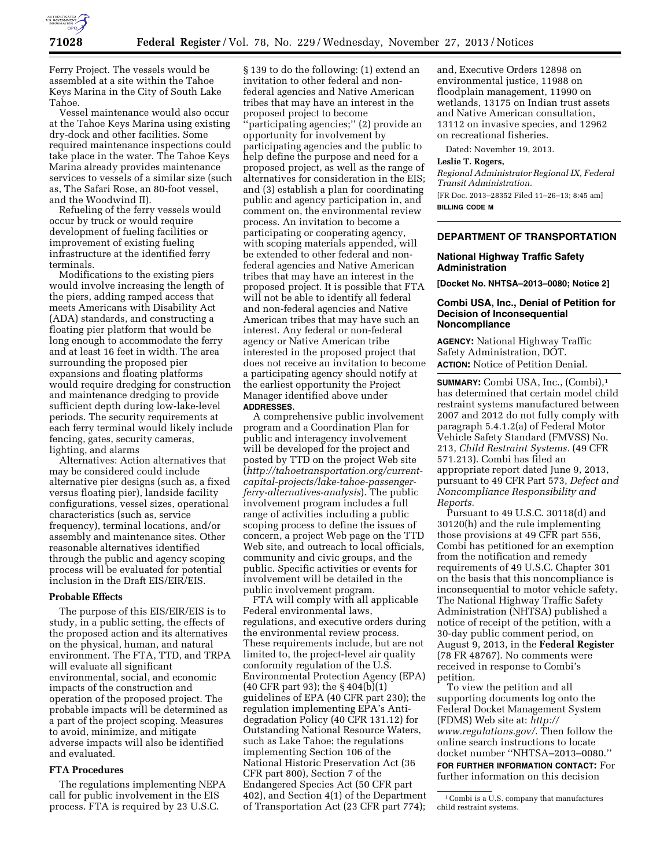

Ferry Project. The vessels would be assembled at a site within the Tahoe Keys Marina in the City of South Lake Tahoe.

Vessel maintenance would also occur at the Tahoe Keys Marina using existing dry-dock and other facilities. Some required maintenance inspections could take place in the water. The Tahoe Keys Marina already provides maintenance services to vessels of a similar size (such as, The Safari Rose, an 80-foot vessel, and the Woodwind II).

Refueling of the ferry vessels would occur by truck or would require development of fueling facilities or improvement of existing fueling infrastructure at the identified ferry terminals.

Modifications to the existing piers would involve increasing the length of the piers, adding ramped access that meets Americans with Disability Act (ADA) standards, and constructing a floating pier platform that would be long enough to accommodate the ferry and at least 16 feet in width. The area surrounding the proposed pier expansions and floating platforms would require dredging for construction and maintenance dredging to provide sufficient depth during low-lake-level periods. The security requirements at each ferry terminal would likely include fencing, gates, security cameras, lighting, and alarms

Alternatives: Action alternatives that may be considered could include alternative pier designs (such as, a fixed versus floating pier), landside facility configurations, vessel sizes, operational characteristics (such as, service frequency), terminal locations, and/or assembly and maintenance sites. Other reasonable alternatives identified through the public and agency scoping process will be evaluated for potential inclusion in the Draft EIS/EIR/EIS.

# **Probable Effects**

The purpose of this EIS/EIR/EIS is to study, in a public setting, the effects of the proposed action and its alternatives on the physical, human, and natural environment. The FTA, TTD, and TRPA will evaluate all significant environmental, social, and economic impacts of the construction and operation of the proposed project. The probable impacts will be determined as a part of the project scoping. Measures to avoid, minimize, and mitigate adverse impacts will also be identified and evaluated.

# **FTA Procedures**

The regulations implementing NEPA call for public involvement in the EIS process. FTA is required by 23 U.S.C.

§ 139 to do the following: (1) extend an invitation to other federal and nonfederal agencies and Native American tribes that may have an interest in the proposed project to become ''participating agencies;'' (2) provide an opportunity for involvement by participating agencies and the public to help define the purpose and need for a proposed project, as well as the range of alternatives for consideration in the EIS; and (3) establish a plan for coordinating public and agency participation in, and comment on, the environmental review process. An invitation to become a participating or cooperating agency, with scoping materials appended, will be extended to other federal and nonfederal agencies and Native American tribes that may have an interest in the proposed project. It is possible that FTA will not be able to identify all federal and non-federal agencies and Native American tribes that may have such an interest. Any federal or non-federal agency or Native American tribe interested in the proposed project that does not receive an invitation to become a participating agency should notify at the earliest opportunity the Project Manager identified above under **ADDRESSES**.

A comprehensive public involvement program and a Coordination Plan for public and interagency involvement will be developed for the project and posted by TTD on the project Web site (*[http://tahoetransportation.org/current](http://tahoetransportation.org/current-capital-projects/lake-tahoe-passenger-ferry-alternatives-analysis)[capital-projects/lake-tahoe-passenger](http://tahoetransportation.org/current-capital-projects/lake-tahoe-passenger-ferry-alternatives-analysis)[ferry-alternatives-analysis](http://tahoetransportation.org/current-capital-projects/lake-tahoe-passenger-ferry-alternatives-analysis)*). The public involvement program includes a full range of activities including a public scoping process to define the issues of concern, a project Web page on the TTD Web site, and outreach to local officials, community and civic groups, and the public. Specific activities or events for involvement will be detailed in the public involvement program.

FTA will comply with all applicable Federal environmental laws, regulations, and executive orders during the environmental review process. These requirements include, but are not limited to, the project-level air quality conformity regulation of the U.S. Environmental Protection Agency (EPA) (40 CFR part 93); the § 404(b)(1) guidelines of EPA (40 CFR part 230); the regulation implementing EPA's Antidegradation Policy (40 CFR 131.12) for Outstanding National Resource Waters, such as Lake Tahoe; the regulations implementing Section 106 of the National Historic Preservation Act (36 CFR part 800), Section 7 of the Endangered Species Act (50 CFR part 402), and Section 4(1) of the Department of Transportation Act (23 CFR part 774);

and, Executive Orders 12898 on environmental justice, 11988 on floodplain management, 11990 on wetlands, 13175 on Indian trust assets and Native American consultation, 13112 on invasive species, and 12962 on recreational fisheries.

Dated: November 19, 2013.

# **Leslie T. Rogers,**

*Regional Administrator Regional IX, Federal Transit Administration.* 

[FR Doc. 2013–28352 Filed 11–26–13; 8:45 am] **BILLING CODE M** 

### **DEPARTMENT OF TRANSPORTATION**

### **National Highway Traffic Safety Administration**

**[Docket No. NHTSA–2013–0080; Notice 2]** 

#### **Combi USA, Inc., Denial of Petition for Decision of Inconsequential Noncompliance**

**AGENCY:** National Highway Traffic Safety Administration, DOT. **ACTION:** Notice of Petition Denial.

**SUMMARY:** Combi USA, Inc., (Combi),1 has determined that certain model child restraint systems manufactured between 2007 and 2012 do not fully comply with paragraph 5.4.1.2(a) of Federal Motor Vehicle Safety Standard (FMVSS) No. 213, *Child Restraint Systems.* (49 CFR 571.213). Combi has filed an appropriate report dated June 9, 2013, pursuant to 49 CFR Part 573, *Defect and Noncompliance Responsibility and Reports.* 

Pursuant to 49 U.S.C. 30118(d) and 30120(h) and the rule implementing those provisions at 49 CFR part 556, Combi has petitioned for an exemption from the notification and remedy requirements of 49 U.S.C. Chapter 301 on the basis that this noncompliance is inconsequential to motor vehicle safety. The National Highway Traffic Safety Administration (NHTSA) published a notice of receipt of the petition, with a 30-day public comment period, on August 9, 2013, in the **Federal Register**  (78 FR 48767). No comments were received in response to Combi's petition.

To view the petition and all supporting documents log onto the Federal Docket Management System (FDMS) Web site at: *[http://](http://www.regulations.gov/) [www.regulations.gov/.](http://www.regulations.gov/)* Then follow the online search instructions to locate docket number ''NHTSA–2013–0080.'' **FOR FURTHER INFORMATION CONTACT:** For further information on this decision

1Combi is a U.S. company that manufactures child restraint systems.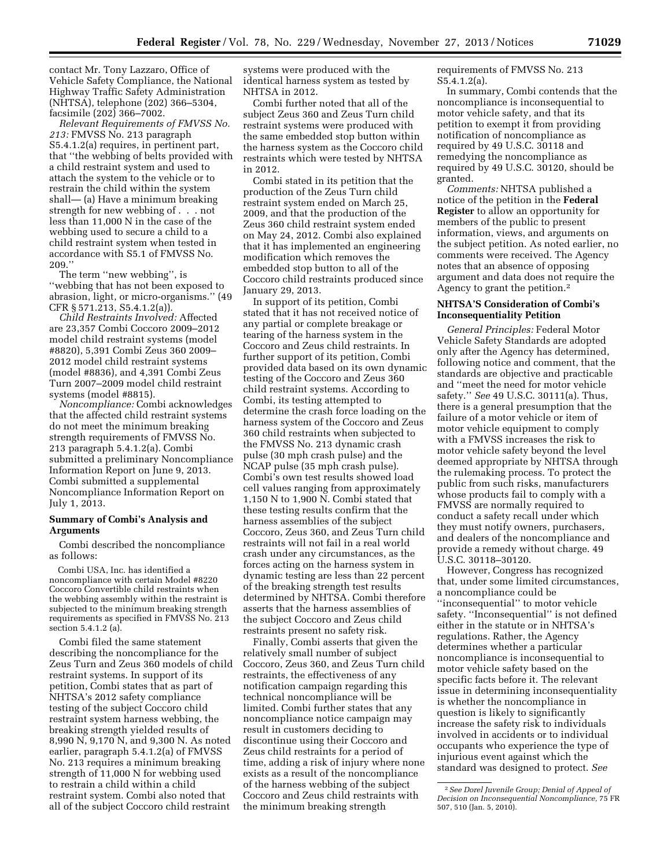contact Mr. Tony Lazzaro, Office of Vehicle Safety Compliance, the National Highway Traffic Safety Administration (NHTSA), telephone (202) 366–5304, facsimile (202) 366–7002.

*Relevant Requirements of FMVSS No. 213:* FMVSS No. 213 paragraph S5.4.1.2(a) requires, in pertinent part, that ''the webbing of belts provided with a child restraint system and used to attach the system to the vehicle or to restrain the child within the system shall— (a) Have a minimum breaking strength for new webbing of . . . not less than 11,000 N in the case of the webbing used to secure a child to a child restraint system when tested in accordance with S5.1 of FMVSS No. 209.''

The term ''new webbing'', is ''webbing that has not been exposed to abrasion, light, or micro-organisms.'' (49 CFR § 571.213, S5.4.1.2(a)).

*Child Restraints Involved:* Affected are 23,357 Combi Coccoro 2009–2012 model child restraint systems (model #8820), 5,391 Combi Zeus 360 2009– 2012 model child restraint systems (model #8836), and 4,391 Combi Zeus Turn 2007–2009 model child restraint systems (model #8815).

*Noncompliance:* Combi acknowledges that the affected child restraint systems do not meet the minimum breaking strength requirements of FMVSS No. 213 paragraph 5.4.1.2(a). Combi submitted a preliminary Noncompliance Information Report on June 9, 2013. Combi submitted a supplemental Noncompliance Information Report on July 1, 2013.

#### **Summary of Combi's Analysis and Arguments**

Combi described the noncompliance as follows:

Combi USA, Inc. has identified a noncompliance with certain Model #8220 Coccoro Convertible child restraints when the webbing assembly within the restraint is subjected to the minimum breaking strength requirements as specified in FMVSS No. 213 section 5.4.1.2 (a).

Combi filed the same statement describing the noncompliance for the Zeus Turn and Zeus 360 models of child restraint systems. In support of its petition, Combi states that as part of NHTSA's 2012 safety compliance testing of the subject Coccoro child restraint system harness webbing, the breaking strength yielded results of 8,990 N, 9,170 N, and 9,300 N. As noted earlier, paragraph 5.4.1.2(a) of FMVSS No. 213 requires a minimum breaking strength of 11,000 N for webbing used to restrain a child within a child restraint system. Combi also noted that all of the subject Coccoro child restraint

systems were produced with the identical harness system as tested by NHTSA in 2012.

Combi further noted that all of the subject Zeus 360 and Zeus Turn child restraint systems were produced with the same embedded stop button within the harness system as the Coccoro child restraints which were tested by NHTSA in 2012.

Combi stated in its petition that the production of the Zeus Turn child restraint system ended on March 25, 2009, and that the production of the Zeus 360 child restraint system ended on May 24, 2012. Combi also explained that it has implemented an engineering modification which removes the embedded stop button to all of the Coccoro child restraints produced since January 29, 2013.

In support of its petition, Combi stated that it has not received notice of any partial or complete breakage or tearing of the harness system in the Coccoro and Zeus child restraints. In further support of its petition, Combi provided data based on its own dynamic testing of the Coccoro and Zeus 360 child restraint systems. According to Combi, its testing attempted to determine the crash force loading on the harness system of the Coccoro and Zeus 360 child restraints when subjected to the FMVSS No. 213 dynamic crash pulse (30 mph crash pulse) and the NCAP pulse (35 mph crash pulse). Combi's own test results showed load cell values ranging from approximately 1,150 N to 1,900 N. Combi stated that these testing results confirm that the harness assemblies of the subject Coccoro, Zeus 360, and Zeus Turn child restraints will not fail in a real world crash under any circumstances, as the forces acting on the harness system in dynamic testing are less than 22 percent of the breaking strength test results determined by NHTSA. Combi therefore asserts that the harness assemblies of the subject Coccoro and Zeus child restraints present no safety risk.

Finally, Combi asserts that given the relatively small number of subject Coccoro, Zeus 360, and Zeus Turn child restraints, the effectiveness of any notification campaign regarding this technical noncompliance will be limited. Combi further states that any noncompliance notice campaign may result in customers deciding to discontinue using their Coccoro and Zeus child restraints for a period of time, adding a risk of injury where none exists as a result of the noncompliance of the harness webbing of the subject Coccoro and Zeus child restraints with the minimum breaking strength

requirements of FMVSS No. 213 S5.4.1.2(a).

In summary, Combi contends that the noncompliance is inconsequential to motor vehicle safety, and that its petition to exempt it from providing notification of noncompliance as required by 49 U.S.C. 30118 and remedying the noncompliance as required by 49 U.S.C. 30120, should be granted.

*Comments:* NHTSA published a notice of the petition in the **Federal Register** to allow an opportunity for members of the public to present information, views, and arguments on the subject petition. As noted earlier, no comments were received. The Agency notes that an absence of opposing argument and data does not require the Agency to grant the petition.2

### **NHTSA'S Consideration of Combi's Inconsequentiality Petition**

*General Principles:* Federal Motor Vehicle Safety Standards are adopted only after the Agency has determined, following notice and comment, that the standards are objective and practicable and ''meet the need for motor vehicle safety.'' *See* 49 U.S.C. 30111(a). Thus, there is a general presumption that the failure of a motor vehicle or item of motor vehicle equipment to comply with a FMVSS increases the risk to motor vehicle safety beyond the level deemed appropriate by NHTSA through the rulemaking process. To protect the public from such risks, manufacturers whose products fail to comply with a FMVSS are normally required to conduct a safety recall under which they must notify owners, purchasers, and dealers of the noncompliance and provide a remedy without charge. 49 U.S.C. 30118–30120.

However, Congress has recognized that, under some limited circumstances, a noncompliance could be ''inconsequential'' to motor vehicle safety. ''Inconsequential'' is not defined either in the statute or in NHTSA's regulations. Rather, the Agency determines whether a particular noncompliance is inconsequential to motor vehicle safety based on the specific facts before it. The relevant issue in determining inconsequentiality is whether the noncompliance in question is likely to significantly increase the safety risk to individuals involved in accidents or to individual occupants who experience the type of injurious event against which the standard was designed to protect. *See* 

<sup>2</sup>*See Dorel Juvenile Group; Denial of Appeal of Decision on Inconsequential Noncompliance,* 75 FR 507, 510 (Jan. 5, 2010).